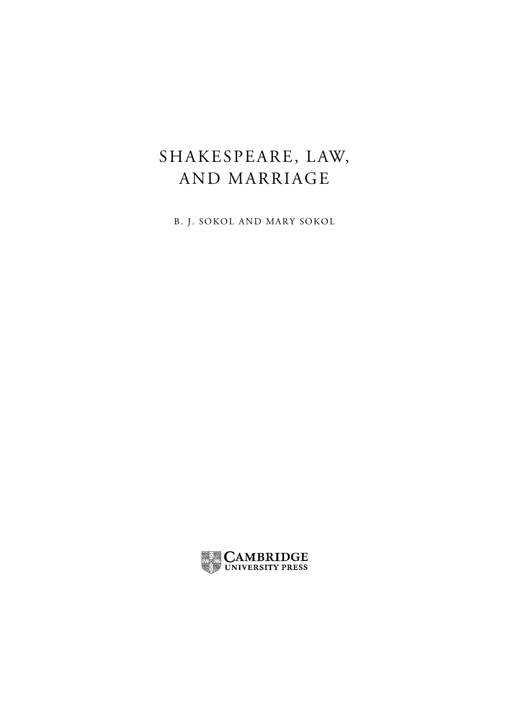# SHAKESPEARE, LAW, AND MARRIAGE

B. J. SOKOL AND MARY SOKOL

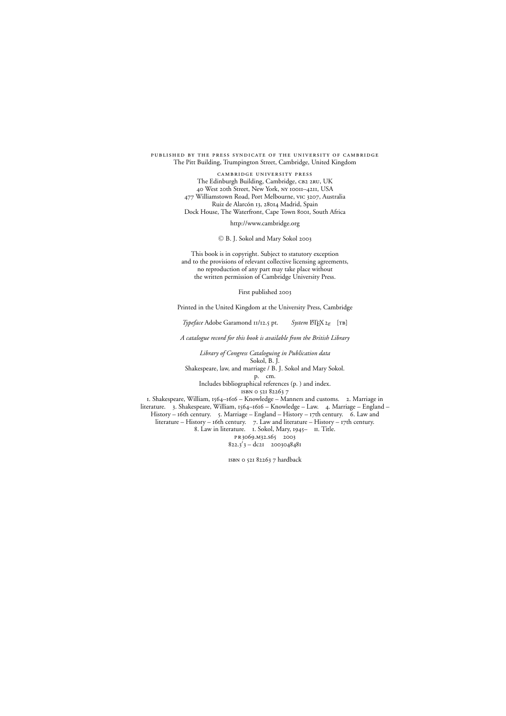published by the press syndicate of the university of cambridge The Pitt Building, Trumpington Street, Cambridge, United Kingdom

> cambridge university press The Edinburgh Building, Cambridge, CB2 2RU, UK 40 West 20th Street, New York, ny 10011–4211, USA 477 Williamstown Road, Port Melbourne, vic 3207, Australia Ruiz de Alarcón 13, 28014 Madrid, Spain Dock House, The Waterfront, Cape Town 8001, South Africa

> > http://www.cambridge.org

<sup>C</sup> B. J. Sokol and Mary Sokol 2003

This book is in copyright. Subject to statutory exception and to the provisions of relevant collective licensing agreements, no reproduction of any part may take place without the written permission of Cambridge University Press.

First published 2003

Printed in the United Kingdom at the University Press, Cambridge

*Typeface* Adobe Garamond 11/12.5 pt.  $System ETrX_{2\varepsilon}$  [TB]

*A catalogue record for this book is available from the British Library*

*Library of Congress Cataloguing in Publication data* Sokol, B. J.

Shakespeare, law, and marriage / B. J. Sokol and Mary Sokol.

p. cm.

Includes bibliographical references (p. ) and index.

isbn 0 521 82263 7

1. Shakespeare, William, 1564–1616 – Knowledge – Manners and customs. 2. Marriage in literature. 3. Shakespeare, William, 1564–1616 – Knowledge – Law. 4. Marriage – England – History – 16th century. 5. Marriage – England – History – 17th century. 6. Law and literature – History – 16th century. 7. Law and literature – History – 17th century. 8. Law in literature. I. Sokol, Mary, 1945- II. Title. pr 3069.m32.s65 2003  $822.3^{'}3 - dcz1$  2003048481

isbn 0 521 82263 7 hardback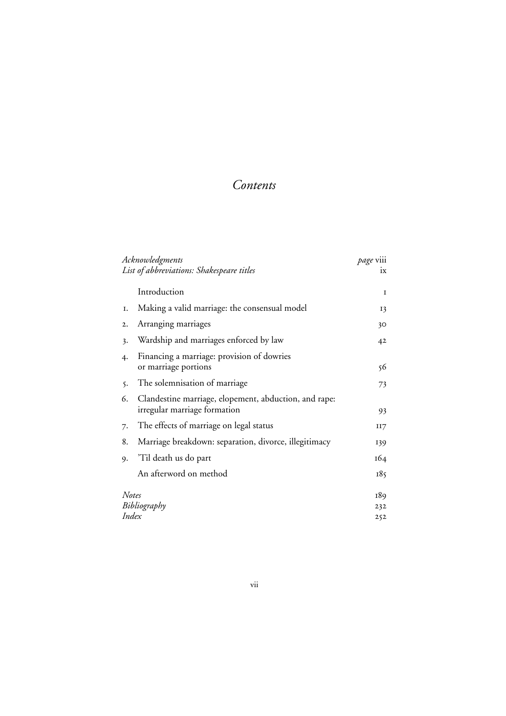## *Contents*

| Acknowledgments                           |                                                                                       | <i>page</i> viii |
|-------------------------------------------|---------------------------------------------------------------------------------------|------------------|
| List of abbreviations: Shakespeare titles |                                                                                       | $\overline{1}X$  |
|                                           | Introduction                                                                          | <b>I</b>         |
| Ι.                                        | Making a valid marriage: the consensual model                                         | 13               |
| 2.                                        | Arranging marriages                                                                   | 30               |
| 3.                                        | Wardship and marriages enforced by law                                                | 42               |
| 4.                                        | Financing a marriage: provision of dowries<br>or marriage portions                    | 56               |
| $\mathsf{S}$ .                            | The solemnisation of marriage                                                         | 73               |
| 6.                                        | Clandestine marriage, elopement, abduction, and rape:<br>irregular marriage formation | 93               |
| 7.                                        | The effects of marriage on legal status                                               | II7              |
| 8.                                        | Marriage breakdown: separation, divorce, illegitimacy                                 | 139              |
| 9.                                        | 'Til death us do part                                                                 | 164              |
|                                           | An afterword on method                                                                | 185              |
| <b>Notes</b>                              |                                                                                       | 189              |
| Bibliography                              |                                                                                       | 232              |
| Index                                     |                                                                                       | 252              |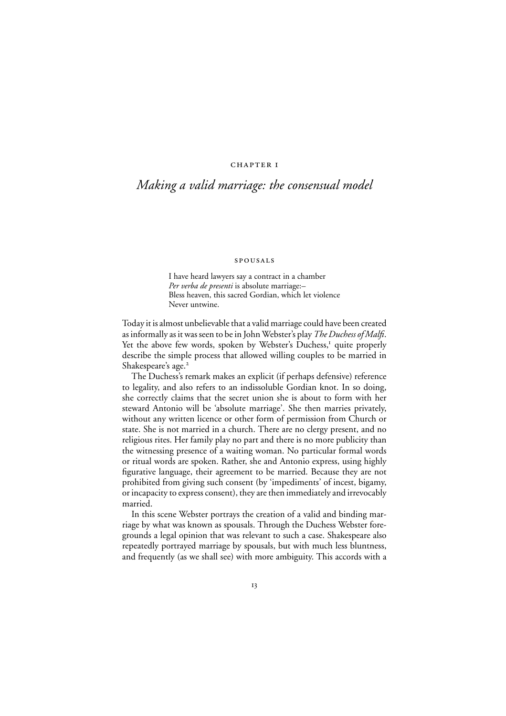#### CHAPTER I

### *Making a valid marriage: the consensual model*

#### spousals

I have heard lawyers say a contract in a chamber *Per verba de presenti* is absolute marriage:– Bless heaven, this sacred Gordian, which let violence Never untwine.

Today it is almost unbelievable that a valid marriage could have been created as informally as it was seen to be in John Webster's play *The Duchess of Malfi*. Yet the above few words, spoken by Webster's Duchess,<sup>1</sup> quite properly describe the simple process that allowed willing couples to be married in Shakespeare's age.<sup>2</sup>

The Duchess's remark makes an explicit (if perhaps defensive) reference to legality, and also refers to an indissoluble Gordian knot. In so doing, she correctly claims that the secret union she is about to form with her steward Antonio will be 'absolute marriage'. She then marries privately, without any written licence or other form of permission from Church or state. She is not married in a church. There are no clergy present, and no religious rites. Her family play no part and there is no more publicity than the witnessing presence of a waiting woman. No particular formal words or ritual words are spoken. Rather, she and Antonio express, using highly figurative language, their agreement to be married. Because they are not prohibited from giving such consent (by 'impediments' of incest, bigamy, or incapacity to express consent), they are then immediately and irrevocably married.

In this scene Webster portrays the creation of a valid and binding marriage by what was known as spousals. Through the Duchess Webster foregrounds a legal opinion that was relevant to such a case. Shakespeare also repeatedly portrayed marriage by spousals, but with much less bluntness, and frequently (as we shall see) with more ambiguity. This accords with a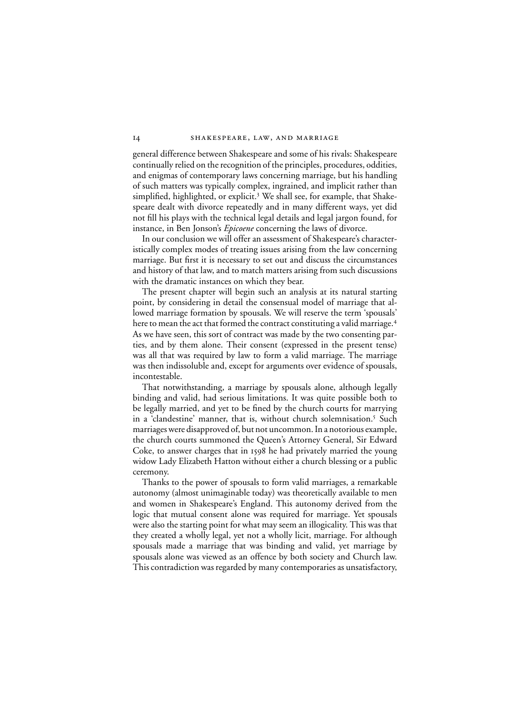general difference between Shakespeare and some of his rivals: Shakespeare continually relied on the recognition of the principles, procedures, oddities, and enigmas of contemporary laws concerning marriage, but his handling of such matters was typically complex, ingrained, and implicit rather than simplified, highlighted, or explicit.<sup>3</sup> We shall see, for example, that Shakespeare dealt with divorce repeatedly and in many different ways, yet did not fill his plays with the technical legal details and legal jargon found, for instance, in Ben Jonson's *Epicoene* concerning the laws of divorce.

In our conclusion we will offer an assessment of Shakespeare's characteristically complex modes of treating issues arising from the law concerning marriage. But first it is necessary to set out and discuss the circumstances and history of that law, and to match matters arising from such discussions with the dramatic instances on which they bear.

The present chapter will begin such an analysis at its natural starting point, by considering in detail the consensual model of marriage that allowed marriage formation by spousals. We will reserve the term 'spousals' here to mean the act that formed the contract constituting a valid marriage.<sup>4</sup> As we have seen, this sort of contract was made by the two consenting parties, and by them alone. Their consent (expressed in the present tense) was all that was required by law to form a valid marriage. The marriage was then indissoluble and, except for arguments over evidence of spousals, incontestable.

That notwithstanding, a marriage by spousals alone, although legally binding and valid, had serious limitations. It was quite possible both to be legally married, and yet to be fined by the church courts for marrying in a 'clandestine' manner, that is, without church solemnisation.<sup>5</sup> Such marriages were disapproved of, but not uncommon. In a notorious example, the church courts summoned the Queen's Attorney General, Sir Edward Coke, to answer charges that in 1598 he had privately married the young widow Lady Elizabeth Hatton without either a church blessing or a public ceremony.

Thanks to the power of spousals to form valid marriages, a remarkable autonomy (almost unimaginable today) was theoretically available to men and women in Shakespeare's England. This autonomy derived from the logic that mutual consent alone was required for marriage. Yet spousals were also the starting point for what may seem an illogicality. This was that they created a wholly legal, yet not a wholly licit, marriage. For although spousals made a marriage that was binding and valid, yet marriage by spousals alone was viewed as an offence by both society and Church law. This contradiction was regarded by many contemporaries as unsatisfactory,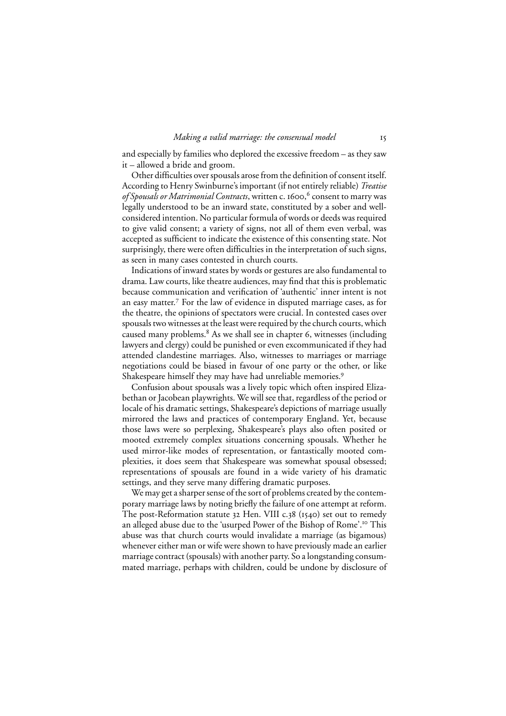and especially by families who deplored the excessive freedom – as they saw it – allowed a bride and groom.

Other difficulties over spousals arose from the definition of consent itself. According to Henry Swinburne's important (if not entirely reliable) *Treatise of Spousals or Matrimonial Contracts*, written c. 1600, <sup>6</sup> consent to marry was legally understood to be an inward state, constituted by a sober and wellconsidered intention. No particular formula of words or deeds was required to give valid consent; a variety of signs, not all of them even verbal, was accepted as sufficient to indicate the existence of this consenting state. Not surprisingly, there were often difficulties in the interpretation of such signs, as seen in many cases contested in church courts.

Indications of inward states by words or gestures are also fundamental to drama. Law courts, like theatre audiences, may find that this is problematic because communication and verification of 'authentic' inner intent is not an easy matter.<sup>7</sup> For the law of evidence in disputed marriage cases, as for the theatre, the opinions of spectators were crucial. In contested cases over spousals two witnesses at the least were required by the church courts, which caused many problems.<sup>8</sup> As we shall see in chapter 6, witnesses (including lawyers and clergy) could be punished or even excommunicated if they had attended clandestine marriages. Also, witnesses to marriages or marriage negotiations could be biased in favour of one party or the other, or like Shakespeare himself they may have had unreliable memories.<sup>9</sup>

Confusion about spousals was a lively topic which often inspired Elizabethan or Jacobean playwrights. We will see that, regardless of the period or locale of his dramatic settings, Shakespeare's depictions of marriage usually mirrored the laws and practices of contemporary England. Yet, because those laws were so perplexing, Shakespeare's plays also often posited or mooted extremely complex situations concerning spousals. Whether he used mirror-like modes of representation, or fantastically mooted complexities, it does seem that Shakespeare was somewhat spousal obsessed; representations of spousals are found in a wide variety of his dramatic settings, and they serve many differing dramatic purposes.

We may get a sharper sense of the sort of problems created by the contemporary marriage laws by noting briefly the failure of one attempt at reform. The post-Reformation statute 32 Hen. VIII c.38 (1540) set out to remedy an alleged abuse due to the 'usurped Power of the Bishop of Rome'.<sup>10</sup> This abuse was that church courts would invalidate a marriage (as bigamous) whenever either man or wife were shown to have previously made an earlier marriage contract (spousals) with another party. So a longstanding consummated marriage, perhaps with children, could be undone by disclosure of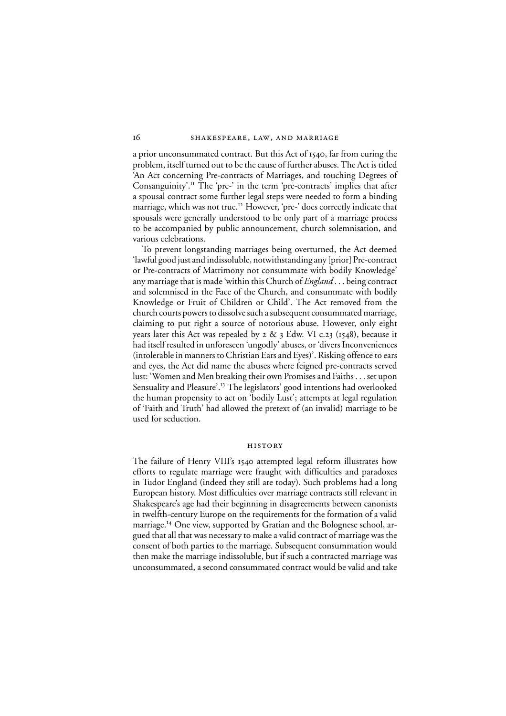a prior unconsummated contract. But this Act of 1540, far from curing the problem, itself turned out to be the cause of further abuses. The Act is titled 'An Act concerning Pre-contracts of Marriages, and touching Degrees of Consanguinity'.<sup>11</sup> The 'pre-' in the term 'pre-contracts' implies that after a spousal contract some further legal steps were needed to form a binding marriage, which was not true.<sup>12</sup> However, 'pre-' does correctly indicate that spousals were generally understood to be only part of a marriage process to be accompanied by public announcement, church solemnisation, and various celebrations.

To prevent longstanding marriages being overturned, the Act deemed 'lawful good just and indissoluble, notwithstanding any [prior] Pre-contract or Pre-contracts of Matrimony not consummate with bodily Knowledge' any marriage that is made 'within this Church of *England* . . . being contract and solemnised in the Face of the Church, and consummate with bodily Knowledge or Fruit of Children or Child'. The Act removed from the church courts powers to dissolve such a subsequent consummated marriage, claiming to put right a source of notorious abuse. However, only eight years later this Act was repealed by 2 & 3 Edw. VI c.23 (1548), because it had itself resulted in unforeseen 'ungodly' abuses, or 'divers Inconveniences (intolerable in manners to Christian Ears and Eyes)'. Risking offence to ears and eyes, the Act did name the abuses where feigned pre-contracts served lust: 'Women and Men breaking their own Promises and Faiths . . . set upon Sensuality and Pleasure'.<sup>13</sup> The legislators' good intentions had overlooked the human propensity to act on 'bodily Lust'; attempts at legal regulation of 'Faith and Truth' had allowed the pretext of (an invalid) marriage to be used for seduction.

#### history

The failure of Henry VIII's 1540 attempted legal reform illustrates how efforts to regulate marriage were fraught with difficulties and paradoxes in Tudor England (indeed they still are today). Such problems had a long European history. Most difficulties over marriage contracts still relevant in Shakespeare's age had their beginning in disagreements between canonists in twelfth-century Europe on the requirements for the formation of a valid marriage.<sup>14</sup> One view, supported by Gratian and the Bolognese school, argued that all that was necessary to make a valid contract of marriage was the consent of both parties to the marriage. Subsequent consummation would then make the marriage indissoluble, but if such a contracted marriage was unconsummated, a second consummated contract would be valid and take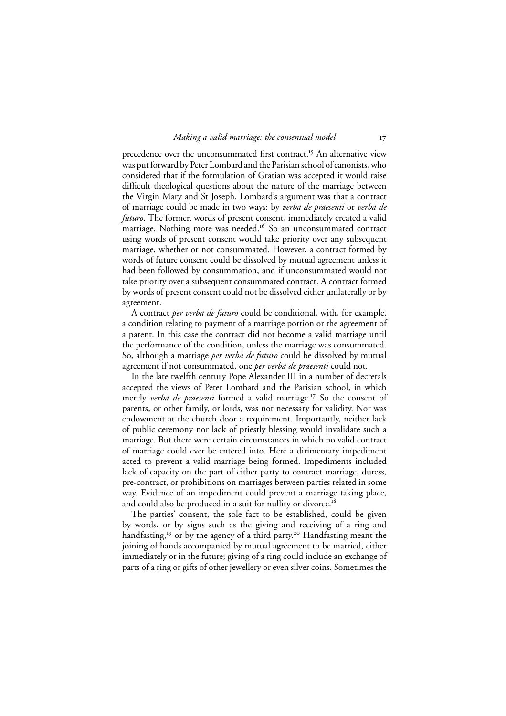precedence over the unconsummated first contract.<sup>15</sup> An alternative view was put forward by Peter Lombard and the Parisian school of canonists, who considered that if the formulation of Gratian was accepted it would raise difficult theological questions about the nature of the marriage between the Virgin Mary and St Joseph. Lombard's argument was that a contract of marriage could be made in two ways: by *verba de praesenti* or *verba de futuro*. The former, words of present consent, immediately created a valid marriage. Nothing more was needed.<sup>16</sup> So an unconsummated contract using words of present consent would take priority over any subsequent marriage, whether or not consummated. However, a contract formed by words of future consent could be dissolved by mutual agreement unless it had been followed by consummation, and if unconsummated would not take priority over a subsequent consummated contract. A contract formed by words of present consent could not be dissolved either unilaterally or by agreement.

A contract *per verba de futuro* could be conditional, with, for example, a condition relating to payment of a marriage portion or the agreement of a parent. In this case the contract did not become a valid marriage until the performance of the condition, unless the marriage was consummated. So, although a marriage *per verba de futuro* could be dissolved by mutual agreement if not consummated, one *per verba de praesenti* could not.

In the late twelfth century Pope Alexander III in a number of decretals accepted the views of Peter Lombard and the Parisian school, in which merely *verba de praesenti* formed a valid marriage.<sup>17</sup> So the consent of parents, or other family, or lords, was not necessary for validity. Nor was endowment at the church door a requirement. Importantly, neither lack of public ceremony nor lack of priestly blessing would invalidate such a marriage. But there were certain circumstances in which no valid contract of marriage could ever be entered into. Here a dirimentary impediment acted to prevent a valid marriage being formed. Impediments included lack of capacity on the part of either party to contract marriage, duress, pre-contract, or prohibitions on marriages between parties related in some way. Evidence of an impediment could prevent a marriage taking place, and could also be produced in a suit for nullity or divorce.<sup>18</sup>

The parties' consent, the sole fact to be established, could be given by words, or by signs such as the giving and receiving of a ring and handfasting,<sup>19</sup> or by the agency of a third party.<sup>20</sup> Handfasting meant the joining of hands accompanied by mutual agreement to be married, either immediately or in the future; giving of a ring could include an exchange of parts of a ring or gifts of other jewellery or even silver coins. Sometimes the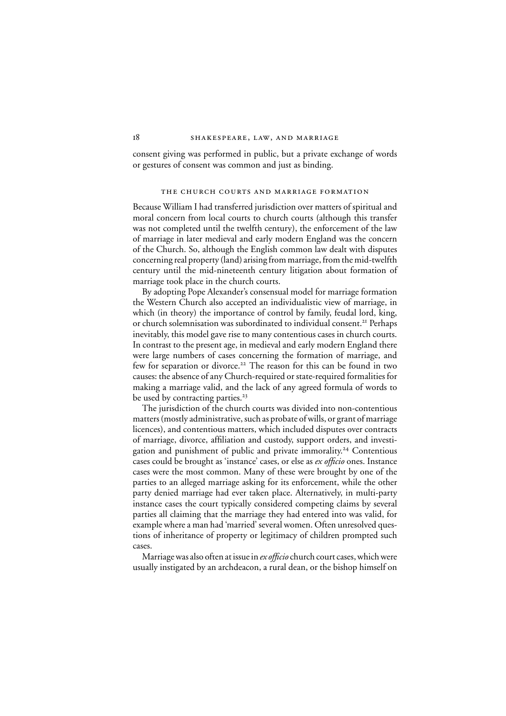consent giving was performed in public, but a private exchange of words or gestures of consent was common and just as binding.

#### the church courts and marriage formation

Because William I had transferred jurisdiction over matters of spiritual and moral concern from local courts to church courts (although this transfer was not completed until the twelfth century), the enforcement of the law of marriage in later medieval and early modern England was the concern of the Church. So, although the English common law dealt with disputes concerning real property (land) arising from marriage, from the mid-twelfth century until the mid-nineteenth century litigation about formation of marriage took place in the church courts.

By adopting Pope Alexander's consensual model for marriage formation the Western Church also accepted an individualistic view of marriage, in which (in theory) the importance of control by family, feudal lord, king, or church solemnisation was subordinated to individual consent.<sup>21</sup> Perhaps inevitably, this model gave rise to many contentious cases in church courts. In contrast to the present age, in medieval and early modern England there were large numbers of cases concerning the formation of marriage, and few for separation or divorce.<sup>22</sup> The reason for this can be found in two causes: the absence of any Church-required or state-required formalities for making a marriage valid, and the lack of any agreed formula of words to be used by contracting parties. $23$ 

The jurisdiction of the church courts was divided into non-contentious matters (mostly administrative, such as probate of wills, or grant of marriage licences), and contentious matters, which included disputes over contracts of marriage, divorce, affiliation and custody, support orders, and investigation and punishment of public and private immorality.<sup>24</sup> Contentious cases could be brought as 'instance' cases, or else as *ex officio* ones. Instance cases were the most common. Many of these were brought by one of the parties to an alleged marriage asking for its enforcement, while the other party denied marriage had ever taken place. Alternatively, in multi-party instance cases the court typically considered competing claims by several parties all claiming that the marriage they had entered into was valid, for example where a man had 'married' several women. Often unresolved questions of inheritance of property or legitimacy of children prompted such cases.

Marriage was also often at issue in *ex officio* church court cases, which were usually instigated by an archdeacon, a rural dean, or the bishop himself on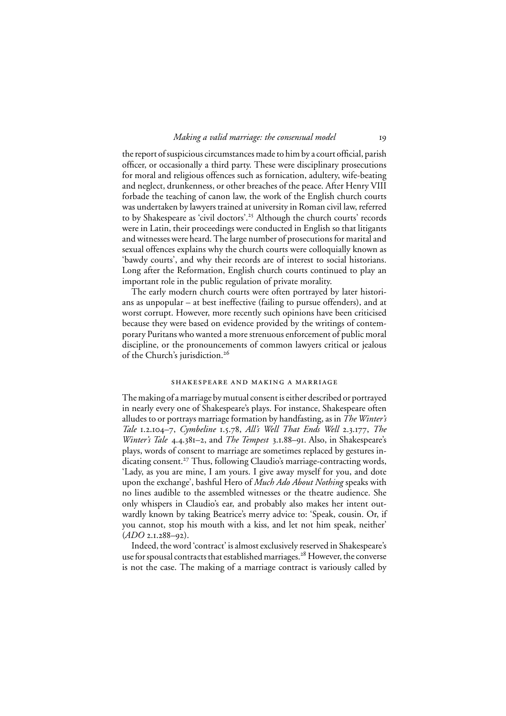the report of suspicious circumstances made to him by a court official, parish officer, or occasionally a third party. These were disciplinary prosecutions for moral and religious offences such as fornication, adultery, wife-beating and neglect, drunkenness, or other breaches of the peace. After Henry VIII forbade the teaching of canon law, the work of the English church courts was undertaken by lawyers trained at university in Roman civil law, referred to by Shakespeare as 'civil doctors'.<sup>25</sup> Although the church courts' records were in Latin, their proceedings were conducted in English so that litigants and witnesses were heard. The large number of prosecutions for marital and sexual offences explains why the church courts were colloquially known as 'bawdy courts', and why their records are of interest to social historians. Long after the Reformation, English church courts continued to play an important role in the public regulation of private morality.

The early modern church courts were often portrayed by later historians as unpopular – at best ineffective (failing to pursue offenders), and at worst corrupt. However, more recently such opinions have been criticised because they were based on evidence provided by the writings of contemporary Puritans who wanted a more strenuous enforcement of public moral discipline, or the pronouncements of common lawyers critical or jealous of the Church's jurisdiction.<sup>26</sup>

#### shakespeare and making a marriage

The making of a marriage by mutual consent is either described or portrayed in nearly every one of Shakespeare's plays. For instance, Shakespeare often alludes to or portrays marriage formation by handfasting, as in *The Winter's Tale* 1.2.104–7, *Cymbeline* 1.5.78, *All's Well That Ends Well* 2.3.177, *The Winter's Tale* 4.4.381–2, and *The Tempest* 3.1.88–91. Also, in Shakespeare's plays, words of consent to marriage are sometimes replaced by gestures indicating consent.<sup>27</sup> Thus, following Claudio's marriage-contracting words, 'Lady, as you are mine, I am yours. I give away myself for you, and dote upon the exchange', bashful Hero of *Much Ado About Nothing* speaks with no lines audible to the assembled witnesses or the theatre audience. She only whispers in Claudio's ear, and probably also makes her intent outwardly known by taking Beatrice's merry advice to: 'Speak, cousin. Or, if you cannot, stop his mouth with a kiss, and let not him speak, neither' (*ADO* 2.1.288–92).

Indeed, the word 'contract' is almost exclusively reserved in Shakespeare's use for spousal contracts that established marriages.<sup>28</sup> However, the converse is not the case. The making of a marriage contract is variously called by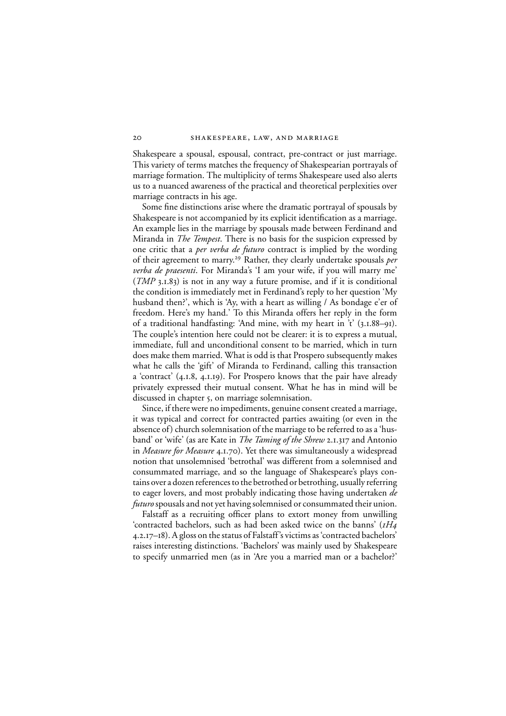Shakespeare a spousal, espousal, contract, pre-contract or just marriage. This variety of terms matches the frequency of Shakespearian portrayals of marriage formation. The multiplicity of terms Shakespeare used also alerts us to a nuanced awareness of the practical and theoretical perplexities over marriage contracts in his age.

Some fine distinctions arise where the dramatic portrayal of spousals by Shakespeare is not accompanied by its explicit identification as a marriage. An example lies in the marriage by spousals made between Ferdinand and Miranda in *The Tempest*. There is no basis for the suspicion expressed by one critic that a *per verba de futuro* contract is implied by the wording of their agreement to marry.<sup>29</sup> Rather, they clearly undertake spousals *per verba de praesenti*. For Miranda's 'I am your wife, if you will marry me' (*TMP* 3.1.83) is not in any way a future promise, and if it is conditional the condition is immediately met in Ferdinand's reply to her question 'My husband then?', which is 'Ay, with a heart as willing / As bondage e'er of freedom. Here's my hand.' To this Miranda offers her reply in the form of a traditional handfasting: 'And mine, with my heart in 't' (3.1.88–91). The couple's intention here could not be clearer: it is to express a mutual, immediate, full and unconditional consent to be married, which in turn does make them married. What is odd is that Prospero subsequently makes what he calls the 'gift' of Miranda to Ferdinand, calling this transaction a 'contract' (4.1.8, 4.1.19). For Prospero knows that the pair have already privately expressed their mutual consent. What he has in mind will be discussed in chapter 5, on marriage solemnisation.

Since, if there were no impediments, genuine consent created a marriage, it was typical and correct for contracted parties awaiting (or even in the absence of) church solemnisation of the marriage to be referred to as a 'husband' or 'wife' (as are Kate in *The Taming of the Shrew* 2.1.317 and Antonio in *Measure for Measure* 4.1.70). Yet there was simultaneously a widespread notion that unsolemnised 'betrothal' was different from a solemnised and consummated marriage, and so the language of Shakespeare's plays contains over a dozen references to the betrothed or betrothing, usually referring to eager lovers, and most probably indicating those having undertaken *de futuro* spousals and not yet having solemnised or consummated their union.

Falstaff as a recruiting officer plans to extort money from unwilling 'contracted bachelors, such as had been asked twice on the banns' (*1H4* 4.2.17–18). A gloss on the status of Falstaff's victims as 'contracted bachelors' raises interesting distinctions. 'Bachelors' was mainly used by Shakespeare to specify unmarried men (as in 'Are you a married man or a bachelor?'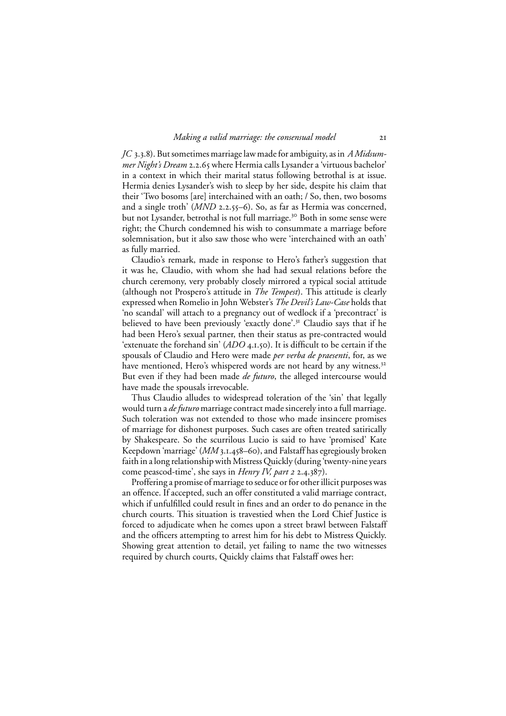*JC* 3.3.8). But sometimes marriage law made for ambiguity, as in *A Midsummer Night's Dream* 2.2.65 where Hermia calls Lysander a 'virtuous bachelor' in a context in which their marital status following betrothal is at issue. Hermia denies Lysander's wish to sleep by her side, despite his claim that their 'Two bosoms [are] interchained with an oath; / So, then, two bosoms and a single troth' (*MND* 2.2.55–6). So, as far as Hermia was concerned, but not Lysander, betrothal is not full marriage.<sup>30</sup> Both in some sense were right; the Church condemned his wish to consummate a marriage before solemnisation, but it also saw those who were 'interchained with an oath' as fully married.

Claudio's remark, made in response to Hero's father's suggestion that it was he, Claudio, with whom she had had sexual relations before the church ceremony, very probably closely mirrored a typical social attitude (although not Prospero's attitude in *The Tempest*). This attitude is clearly expressed when Romelio in John Webster's *The Devil's Law-Case* holds that 'no scandal' will attach to a pregnancy out of wedlock if a 'precontract' is believed to have been previously 'exactly done'.<sup>31</sup> Claudio says that if he had been Hero's sexual partner, then their status as pre-contracted would 'extenuate the forehand sin' (*ADO* 4.1.50). It is difficult to be certain if the spousals of Claudio and Hero were made *per verba de praesenti*, for, as we have mentioned, Hero's whispered words are not heard by any witness.<sup>32</sup> But even if they had been made *de futuro*, the alleged intercourse would have made the spousals irrevocable.

Thus Claudio alludes to widespread toleration of the 'sin' that legally would turn a *de futuro* marriage contract made sincerely into a full marriage. Such toleration was not extended to those who made insincere promises of marriage for dishonest purposes. Such cases are often treated satirically by Shakespeare. So the scurrilous Lucio is said to have 'promised' Kate Keepdown 'marriage' (*MM* 3.1.458–60), and Falstaff has egregiously broken faith in a long relationship with Mistress Quickly (during 'twenty-nine years come peascod-time', she says in *Henry IV, part 2* 2.4.387).

Proffering a promise of marriage to seduce or for other illicit purposes was an offence. If accepted, such an offer constituted a valid marriage contract, which if unfulfilled could result in fines and an order to do penance in the church courts. This situation is travestied when the Lord Chief Justice is forced to adjudicate when he comes upon a street brawl between Falstaff and the officers attempting to arrest him for his debt to Mistress Quickly. Showing great attention to detail, yet failing to name the two witnesses required by church courts, Quickly claims that Falstaff owes her: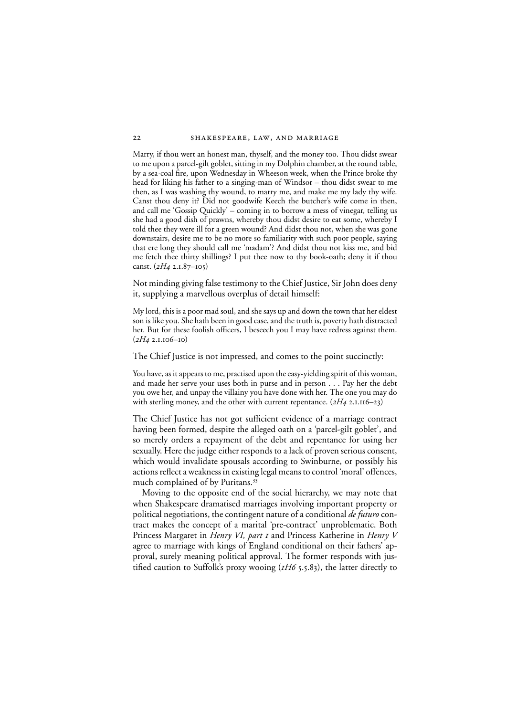Marry, if thou wert an honest man, thyself, and the money too. Thou didst swear to me upon a parcel-gilt goblet, sitting in my Dolphin chamber, at the round table, by a sea-coal fire, upon Wednesday in Wheeson week, when the Prince broke thy head for liking his father to a singing-man of Windsor – thou didst swear to me then, as I was washing thy wound, to marry me, and make me my lady thy wife. Canst thou deny it? Did not goodwife Keech the butcher's wife come in then, and call me 'Gossip Quickly' – coming in to borrow a mess of vinegar, telling us she had a good dish of prawns, whereby thou didst desire to eat some, whereby I told thee they were ill for a green wound? And didst thou not, when she was gone downstairs, desire me to be no more so familiarity with such poor people, saying that ere long they should call me 'madam'? And didst thou not kiss me, and bid me fetch thee thirty shillings? I put thee now to thy book-oath; deny it if thou canst. (*2H4* 2.1.87–105)

Not minding giving false testimony to the Chief Justice, Sir John does deny it, supplying a marvellous overplus of detail himself:

My lord, this is a poor mad soul, and she says up and down the town that her eldest son is like you. She hath been in good case, and the truth is, poverty hath distracted her. But for these foolish officers, I beseech you I may have redress against them. (*2H4* 2.1.106–10)

The Chief Justice is not impressed, and comes to the point succinctly:

You have, as it appears to me, practised upon the easy-yielding spirit of this woman, and made her serve your uses both in purse and in person . . . Pay her the debt you owe her, and unpay the villainy you have done with her. The one you may do with sterling money, and the other with current repentance. (*2H4* 2.1.116–23)

The Chief Justice has not got sufficient evidence of a marriage contract having been formed, despite the alleged oath on a 'parcel-gilt goblet', and so merely orders a repayment of the debt and repentance for using her sexually. Here the judge either responds to a lack of proven serious consent, which would invalidate spousals according to Swinburne, or possibly his actions reflect a weakness in existing legal means to control 'moral' offences, much complained of by Puritans.<sup>33</sup>

Moving to the opposite end of the social hierarchy, we may note that when Shakespeare dramatised marriages involving important property or political negotiations, the contingent nature of a conditional *de futuro* contract makes the concept of a marital 'pre-contract' unproblematic. Both Princess Margaret in *Henry VI, part 1* and Princess Katherine in *Henry V* agree to marriage with kings of England conditional on their fathers' approval, surely meaning political approval. The former responds with justified caution to Suffolk's proxy wooing (*1H6* 5.5.83), the latter directly to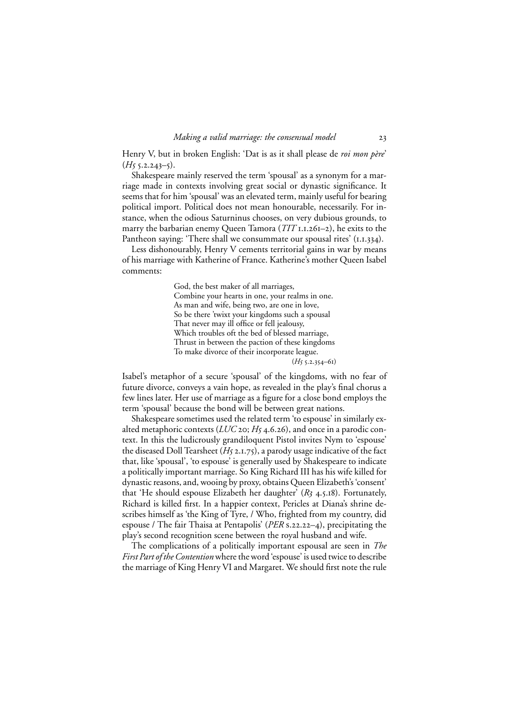Henry V, but in broken English: 'Dat is as it shall please de *roi mon père'*  $(H_5, 2.243 - 5).$ 

Shakespeare mainly reserved the term 'spousal' as a synonym for a marriage made in contexts involving great social or dynastic significance. It seems that for him 'spousal' was an elevated term, mainly useful for bearing political import. Political does not mean honourable, necessarily. For instance, when the odious Saturninus chooses, on very dubious grounds, to marry the barbarian enemy Queen Tamora (*TIT* 1.1.261–2), he exits to the Pantheon saying: 'There shall we consummate our spousal rites' (1.1.334).

Less dishonourably, Henry V cements territorial gains in war by means of his marriage with Katherine of France. Katherine's mother Queen Isabel comments:

> God, the best maker of all marriages, Combine your hearts in one, your realms in one. As man and wife, being two, are one in love, So be there 'twixt your kingdoms such a spousal That never may ill office or fell jealousy, Which troubles oft the bed of blessed marriage, Thrust in between the paction of these kingdoms To make divorce of their incorporate league.  $(H_5, 2.354 - 61)$

Isabel's metaphor of a secure 'spousal' of the kingdoms, with no fear of future divorce, conveys a vain hope, as revealed in the play's final chorus a few lines later. Her use of marriage as a figure for a close bond employs the term 'spousal' because the bond will be between great nations.

Shakespeare sometimes used the related term 'to espouse' in similarly exalted metaphoric contexts (*LUC* 20; *H5* 4.6.26), and once in a parodic context. In this the ludicrously grandiloquent Pistol invites Nym to 'espouse' the diseased Doll Tearsheet (*H5* 2.1.75), a parody usage indicative of the fact that, like 'spousal', 'to espouse' is generally used by Shakespeare to indicate a politically important marriage. So King Richard III has his wife killed for dynastic reasons, and, wooing by proxy, obtains Queen Elizabeth's 'consent' that 'He should espouse Elizabeth her daughter' (*R3* 4.5.18). Fortunately, Richard is killed first. In a happier context, Pericles at Diana's shrine describes himself as 'the King of Tyre, / Who, frighted from my country, did espouse / The fair Thaisa at Pentapolis' (*PER* s.22.22–4), precipitating the play's second recognition scene between the royal husband and wife.

The complications of a politically important espousal are seen in *The First Part of the Contention*where the word 'espouse' is used twice to describe the marriage of King Henry VI and Margaret. We should first note the rule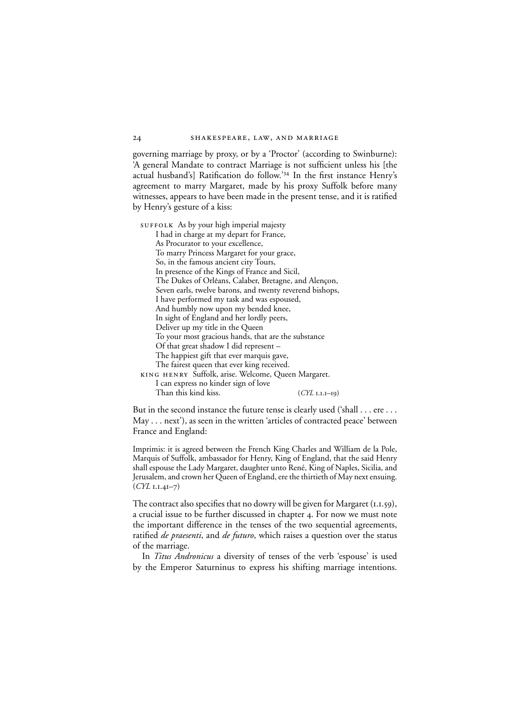governing marriage by proxy, or by a 'Proctor' (according to Swinburne): 'A general Mandate to contract Marriage is not sufficient unless his [the actual husband's] Ratification do follow.'<sup>34</sup> In the first instance Henry's agreement to marry Margaret, made by his proxy Suffolk before many witnesses, appears to have been made in the present tense, and it is ratified by Henry's gesture of a kiss:

SUFFOLK As by your high imperial majesty I had in charge at my depart for France, As Procurator to your excellence, To marry Princess Margaret for your grace, So, in the famous ancient city Tours, In presence of the Kings of France and Sicil, The Dukes of Orléans, Calaber, Bretagne, and Alençon, Seven earls, twelve barons, and twenty reverend bishops, I have performed my task and was espoused, And humbly now upon my bended knee, In sight of England and her lordly peers, Deliver up my title in the Queen To your most gracious hands, that are the substance Of that great shadow I did represent – The happiest gift that ever marquis gave, The fairest queen that ever king received. king henry Suffolk, arise. Welcome, Queen Margaret. I can express no kinder sign of love Than this kind kiss.  $(CYL_{I,I,I-I9})$ 

But in the second instance the future tense is clearly used ('shall . . . ere . . . May . . . next'), as seen in the written 'articles of contracted peace' between France and England:

Imprimis: it is agreed between the French King Charles and William de la Pole, Marquis of Suffolk, ambassador for Henry, King of England, that the said Henry shall espouse the Lady Margaret, daughter unto René, King of Naples, Sicilia, and Jerusalem, and crown her Queen of England, ere the thirtieth of May next ensuing. (*CYL* 1.1.41–7)

The contract also specifies that no dowry will be given for Margaret (1.1.59), a crucial issue to be further discussed in chapter 4. For now we must note the important difference in the tenses of the two sequential agreements, ratified *de praesenti*, and *de futuro*, which raises a question over the status of the marriage.

In *Titus Andronicus* a diversity of tenses of the verb 'espouse' is used by the Emperor Saturninus to express his shifting marriage intentions.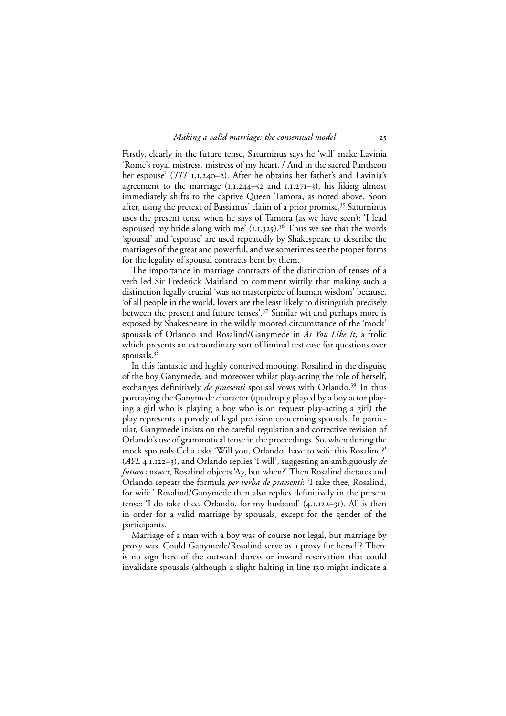Firstly, clearly in the future tense, Saturninus says he 'will' make Lavinia 'Rome's royal mistress, mistress of my heart, / And in the sacred Pantheon her espouse' (*TIT* 1.1.240–2). After he obtains her father's and Lavinia's agreement to the marriage  $(I.I.244-52$  and  $I.I.27I-3)$ , his liking almost immediately shifts to the captive Queen Tamora, as noted above. Soon after, using the pretext of Bassianus' claim of a prior promise,<sup>35</sup> Saturninus uses the present tense when he says of Tamora (as we have seen): 'I lead espoused my bride along with me'  $(1.1.325)$ .<sup>36</sup> Thus we see that the words 'spousal' and 'espouse' are used repeatedly by Shakespeare to describe the marriages of the great and powerful, and we sometimes see the proper forms for the legality of spousal contracts bent by them.

The importance in marriage contracts of the distinction of tenses of a verb led Sir Frederick Maitland to comment wittily that making such a distinction legally crucial 'was no masterpiece of human wisdom' because, 'of all people in the world, lovers are the least likely to distinguish precisely between the present and future tenses'.<sup>37</sup> Similar wit and perhaps more is exposed by Shakespeare in the wildly mooted circumstance of the 'mock' spousals of Orlando and Rosalind/Ganymede in *As You Like It*, a frolic which presents an extraordinary sort of liminal test case for questions over spousals.<sup>38</sup>

In this fantastic and highly contrived mooting, Rosalind in the disguise of the boy Ganymede, and moreover whilst play-acting the role of herself, exchanges definitively *de praesenti* spousal vows with Orlando.<sup>39</sup> In thus portraying the Ganymede character (quadruply played by a boy actor playing a girl who is playing a boy who is on request play-acting a girl) the play represents a parody of legal precision concerning spousals. In particular, Ganymede insists on the careful regulation and corrective revision of Orlando's use of grammatical tense in the proceedings. So, when during the mock spousals Celia asks 'Will you, Orlando, have to wife this Rosalind?' (*AYL* 4.1.122–3), and Orlando replies 'I will', suggesting an ambiguously *de futuro* answer, Rosalind objects 'Ay, but when?' Then Rosalind dictates and Orlando repeats the formula *per verba de praesenti*: 'I take thee, Rosalind, for wife.' Rosalind/Ganymede then also replies definitively in the present tense: 'I do take thee, Orlando, for my husband' (4.1.122–31). All is then in order for a valid marriage by spousals, except for the gender of the participants.

Marriage of a man with a boy was of course not legal, but marriage by proxy was. Could Ganymede/Rosalind serve as a proxy for herself? There is no sign here of the outward duress or inward reservation that could invalidate spousals (although a slight halting in line 130 might indicate a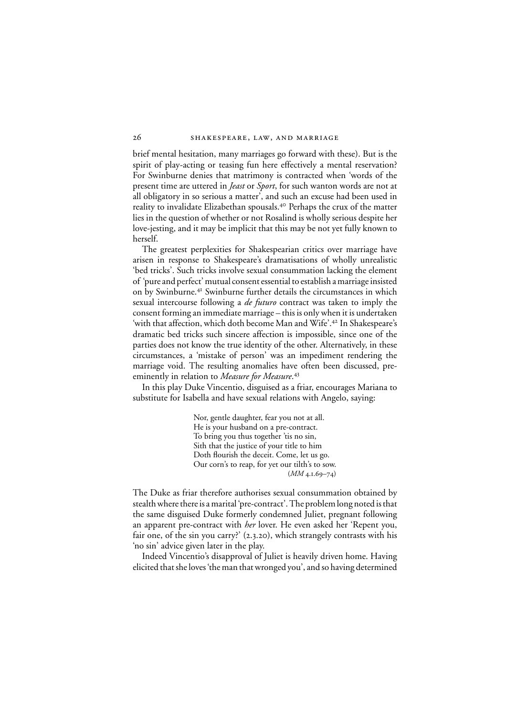brief mental hesitation, many marriages go forward with these). But is the spirit of play-acting or teasing fun here effectively a mental reservation? For Swinburne denies that matrimony is contracted when 'words of the present time are uttered in *Jeast* or *Sport*, for such wanton words are not at all obligatory in so serious a matter', and such an excuse had been used in reality to invalidate Elizabethan spousals.<sup>40</sup> Perhaps the crux of the matter lies in the question of whether or not Rosalind is wholly serious despite her love-jesting, and it may be implicit that this may be not yet fully known to herself.

The greatest perplexities for Shakespearian critics over marriage have arisen in response to Shakespeare's dramatisations of wholly unrealistic 'bed tricks'. Such tricks involve sexual consummation lacking the element of 'pure and perfect' mutual consent essential to establish a marriage insisted on by Swinburne.<sup>41</sup> Swinburne further details the circumstances in which sexual intercourse following a *de futuro* contract was taken to imply the consent forming an immediate marriage – this is only when it is undertaken 'with that affection, which doth become Man and Wife'.<sup>42</sup> In Shakespeare's dramatic bed tricks such sincere affection is impossible, since one of the parties does not know the true identity of the other. Alternatively, in these circumstances, a 'mistake of person' was an impediment rendering the marriage void. The resulting anomalies have often been discussed, preeminently in relation to *Measure for Measure*. 43

In this play Duke Vincentio, disguised as a friar, encourages Mariana to substitute for Isabella and have sexual relations with Angelo, saying:

> Nor, gentle daughter, fear you not at all. He is your husband on a pre-contract. To bring you thus together 'tis no sin, Sith that the justice of your title to him Doth flourish the deceit. Come, let us go. Our corn's to reap, for yet our tilth's to sow. (*MM* 4.1.69–74)

The Duke as friar therefore authorises sexual consummation obtained by stealth where there is a marital 'pre-contract'. The problem long noted is that the same disguised Duke formerly condemned Juliet, pregnant following an apparent pre-contract with *her* lover. He even asked her 'Repent you, fair one, of the sin you carry?' (2.3.20), which strangely contrasts with his 'no sin' advice given later in the play.

Indeed Vincentio's disapproval of Juliet is heavily driven home. Having elicited that she loves 'the man that wronged you', and so having determined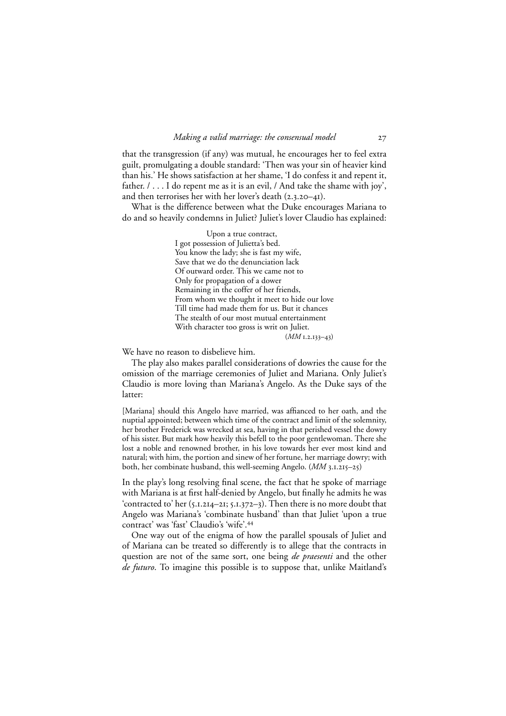that the transgression (if any) was mutual, he encourages her to feel extra guilt, promulgating a double standard: 'Then was your sin of heavier kind than his.' He shows satisfaction at her shame, 'I do confess it and repent it, father. / . . . I do repent me as it is an evil, / And take the shame with joy', and then terrorises her with her lover's death (2.3.20–41).

What is the difference between what the Duke encourages Mariana to do and so heavily condemns in Juliet? Juliet's lover Claudio has explained:

> Upon a true contract, I got possession of Julietta's bed. You know the lady; she is fast my wife, Save that we do the denunciation lack Of outward order. This we came not to Only for propagation of a dower Remaining in the coffer of her friends, From whom we thought it meet to hide our love Till time had made them for us. But it chances The stealth of our most mutual entertainment With character too gross is writ on Juliet. (*MM* 1.2.133–43)

We have no reason to disbelieve him.

The play also makes parallel considerations of dowries the cause for the omission of the marriage ceremonies of Juliet and Mariana. Only Juliet's Claudio is more loving than Mariana's Angelo. As the Duke says of the latter:

[Mariana] should this Angelo have married, was affianced to her oath, and the nuptial appointed; between which time of the contract and limit of the solemnity, her brother Frederick was wrecked at sea, having in that perished vessel the dowry of his sister. But mark how heavily this befell to the poor gentlewoman. There she lost a noble and renowned brother, in his love towards her ever most kind and natural; with him, the portion and sinew of her fortune, her marriage dowry; with both, her combinate husband, this well-seeming Angelo. (*MM* 3.1.215–25)

In the play's long resolving final scene, the fact that he spoke of marriage with Mariana is at first half-denied by Angelo, but finally he admits he was 'contracted to' her (5.1.214–21; 5.1.372–3). Then there is no more doubt that Angelo was Mariana's 'combinate husband' than that Juliet 'upon a true contract' was 'fast' Claudio's 'wife'.<sup>44</sup>

One way out of the enigma of how the parallel spousals of Juliet and of Mariana can be treated so differently is to allege that the contracts in question are not of the same sort, one being *de praesenti* and the other *de futuro*. To imagine this possible is to suppose that, unlike Maitland's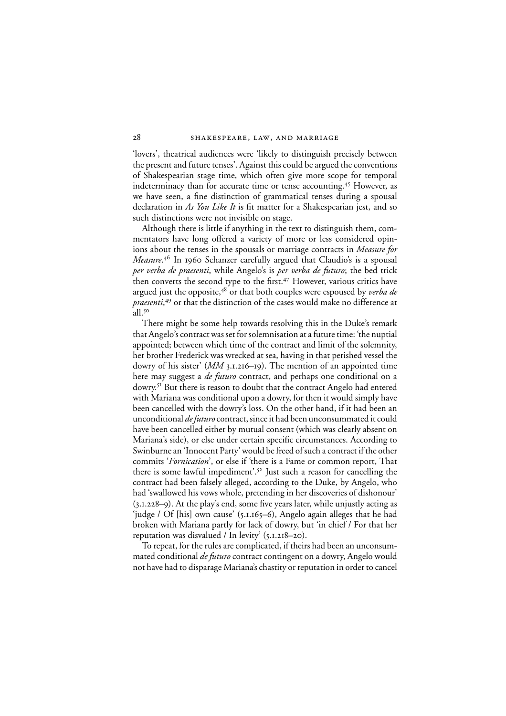'lovers', theatrical audiences were 'likely to distinguish precisely between the present and future tenses'. Against this could be argued the conventions of Shakespearian stage time, which often give more scope for temporal indeterminacy than for accurate time or tense accounting.<sup>45</sup> However, as we have seen, a fine distinction of grammatical tenses during a spousal declaration in *As You Like It* is fit matter for a Shakespearian jest, and so such distinctions were not invisible on stage.

Although there is little if anything in the text to distinguish them, commentators have long offered a variety of more or less considered opinions about the tenses in the spousals or marriage contracts in *Measure for Measure*. <sup>46</sup> In 1960 Schanzer carefully argued that Claudio's is a spousal *per verba de praesenti*, while Angelo's is *per verba de futuro*; the bed trick then converts the second type to the first.<sup>47</sup> However, various critics have argued just the opposite,<sup>48</sup> or that both couples were espoused by *verba de* praesenti,<sup>49</sup> or that the distinction of the cases would make no difference at  $a$ ll.<sup>50</sup>

There might be some help towards resolving this in the Duke's remark that Angelo's contract was set for solemnisation at a future time: 'the nuptial appointed; between which time of the contract and limit of the solemnity, her brother Frederick was wrecked at sea, having in that perished vessel the dowry of his sister' (*MM* 3.1.216–19). The mention of an appointed time here may suggest a *de futuro* contract, and perhaps one conditional on a dowry.<sup>51</sup> But there is reason to doubt that the contract Angelo had entered with Mariana was conditional upon a dowry, for then it would simply have been cancelled with the dowry's loss. On the other hand, if it had been an unconditional *de futuro* contract, since it had been unconsummated it could have been cancelled either by mutual consent (which was clearly absent on Mariana's side), or else under certain specific circumstances. According to Swinburne an 'Innocent Party' would be freed of such a contract if the other commits '*Fornication*', or else if 'there is a Fame or common report, That there is some lawful impediment'.<sup>52</sup> Just such a reason for cancelling the contract had been falsely alleged, according to the Duke, by Angelo, who had 'swallowed his vows whole, pretending in her discoveries of dishonour' (3.1.228–9). At the play's end, some five years later, while unjustly acting as 'judge / Of [his] own cause' (5.1.165–6), Angelo again alleges that he had broken with Mariana partly for lack of dowry, but 'in chief / For that her reputation was disvalued / In levity' (5.1.218–20).

To repeat, for the rules are complicated, if theirs had been an unconsummated conditional *de futuro* contract contingent on a dowry, Angelo would not have had to disparage Mariana's chastity or reputation in order to cancel